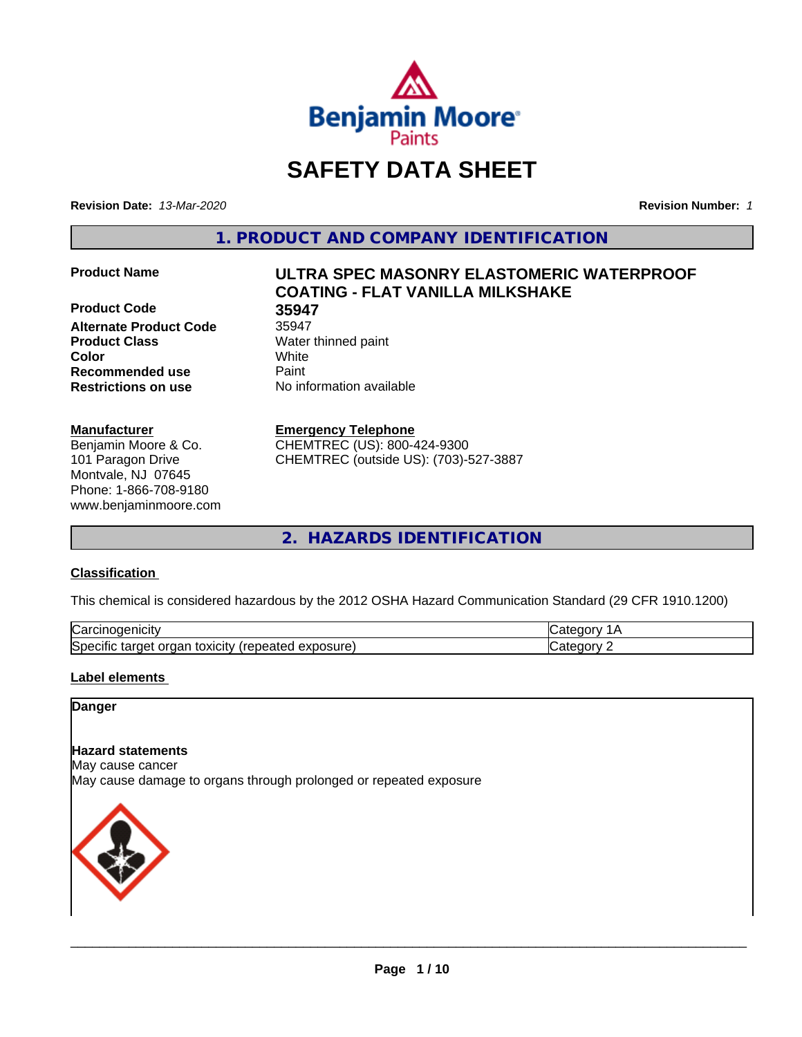

# **SAFETY DATA SHEET**

**Revision Date:** *13-Mar-2020* **Revision Number:** *1*

**1. PRODUCT AND COMPANY IDENTIFICATION**

**Product Code 35947 Alternate Product Code** 35947 **Product Class** Water thinned paint **Color** White **Recommended use Caint Restrictions on use** No information available

#### **Manufacturer**

Benjamin Moore & Co. 101 Paragon Drive Montvale, NJ 07645 Phone: 1-866-708-9180 www.benjaminmoore.com

# **Product Name ULTRA SPEC MASONRY ELASTOMERIC WATERPROOF COATING - FLAT VANILLA MILKSHAKE**

#### **Emergency Telephone**

CHEMTREC (US): 800-424-9300 CHEMTREC (outside US): (703)-527-3887

**2. HAZARDS IDENTIFICATION**

# **Classification**

This chemical is considered hazardous by the 2012 OSHA Hazard Communication Standard (29 CFR 1910.1200)

| ⌒<br>.<br>"Jarc™<br>пісн<br>…u⊔∪∪ ≔                                                 | ----     |
|-------------------------------------------------------------------------------------|----------|
| exposure<br>. .<br>toxicity<br>50e<br>ordar<br>arger :<br>энк<br>.<br>calcu<br>50.U | ----<br> |

# **Label elements**

### **Danger**

#### **Hazard statements**

May cause cancer

May cause damage to organs through prolonged or repeated exposure

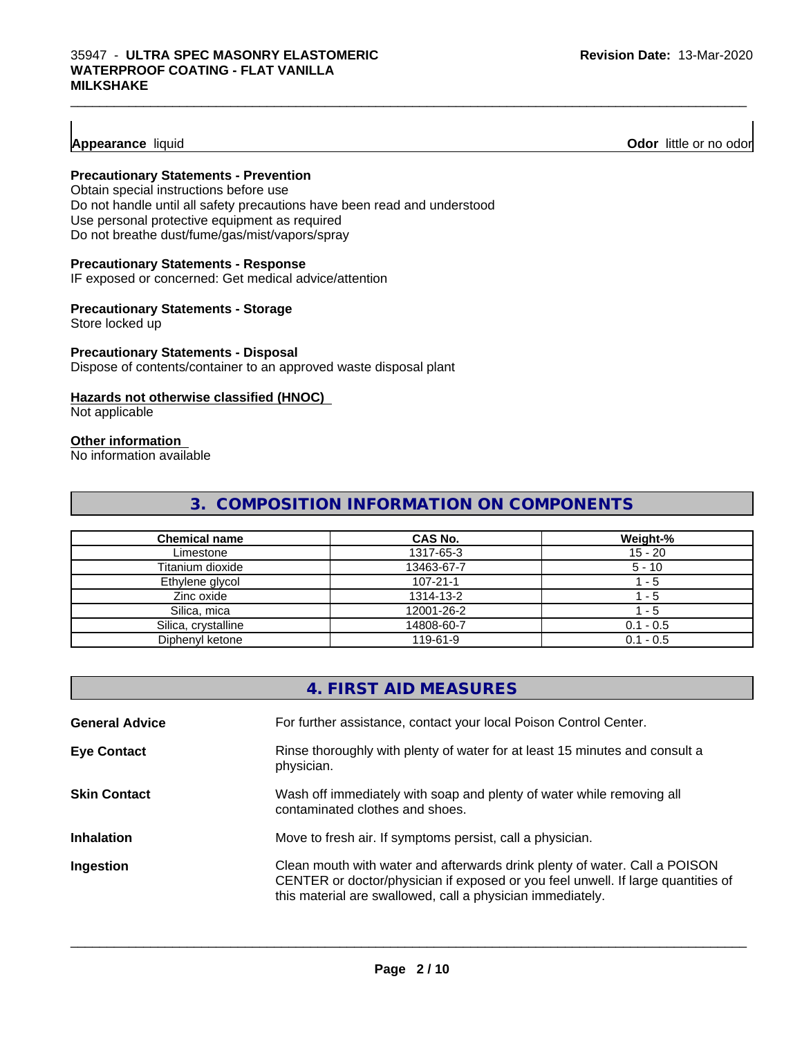# **Appearance** liquid

**Odor** little or no odor

# **Precautionary Statements - Prevention**

Obtain special instructions before use Do not handle until all safety precautions have been read and understood Use personal protective equipment as required Do not breathe dust/fume/gas/mist/vapors/spray

#### **Precautionary Statements - Response**

IF exposed or concerned: Get medical advice/attention

#### **Precautionary Statements - Storage**

Store locked up

#### **Precautionary Statements - Disposal**

Dispose of contents/container to an approved waste disposal plant

#### **Hazards not otherwise classified (HNOC)**

Not applicable

#### **Other information**

No information available

# **3. COMPOSITION INFORMATION ON COMPONENTS**

 $\_$  ,  $\_$  ,  $\_$  ,  $\_$  ,  $\_$  ,  $\_$  ,  $\_$  ,  $\_$  ,  $\_$  ,  $\_$  ,  $\_$  ,  $\_$  ,  $\_$  ,  $\_$  ,  $\_$  ,  $\_$  ,  $\_$  ,  $\_$  ,  $\_$  ,  $\_$  ,  $\_$  ,  $\_$  ,  $\_$  ,  $\_$  ,  $\_$  ,  $\_$  ,  $\_$  ,  $\_$  ,  $\_$  ,  $\_$  ,  $\_$  ,  $\_$  ,  $\_$  ,  $\_$  ,  $\_$  ,  $\_$  ,  $\_$  ,

| <b>Chemical name</b> | <b>CAS No.</b> | Weight-%    |
|----------------------|----------------|-------------|
| Limestone            | 1317-65-3      | $15 - 20$   |
| Titanium dioxide     | 13463-67-7     | $5 - 10$    |
| Ethylene glycol      | $107 - 21 - 1$ | $-5$        |
| Zinc oxide           | 1314-13-2      | - 5         |
| Silica, mica         | 12001-26-2     | - 5         |
| Silica, crystalline  | 14808-60-7     | $0.1 - 0.5$ |
| Diphenyl ketone      | 119-61-9       | $0.1 - 0.5$ |

|                       | 4. FIRST AID MEASURES                                                                                                                                                                                                        |
|-----------------------|------------------------------------------------------------------------------------------------------------------------------------------------------------------------------------------------------------------------------|
| <b>General Advice</b> | For further assistance, contact your local Poison Control Center.                                                                                                                                                            |
| <b>Eye Contact</b>    | Rinse thoroughly with plenty of water for at least 15 minutes and consult a<br>physician.                                                                                                                                    |
| <b>Skin Contact</b>   | Wash off immediately with soap and plenty of water while removing all<br>contaminated clothes and shoes.                                                                                                                     |
| <b>Inhalation</b>     | Move to fresh air. If symptoms persist, call a physician.                                                                                                                                                                    |
| Ingestion             | Clean mouth with water and afterwards drink plenty of water. Call a POISON<br>CENTER or doctor/physician if exposed or you feel unwell. If large quantities of<br>this material are swallowed, call a physician immediately. |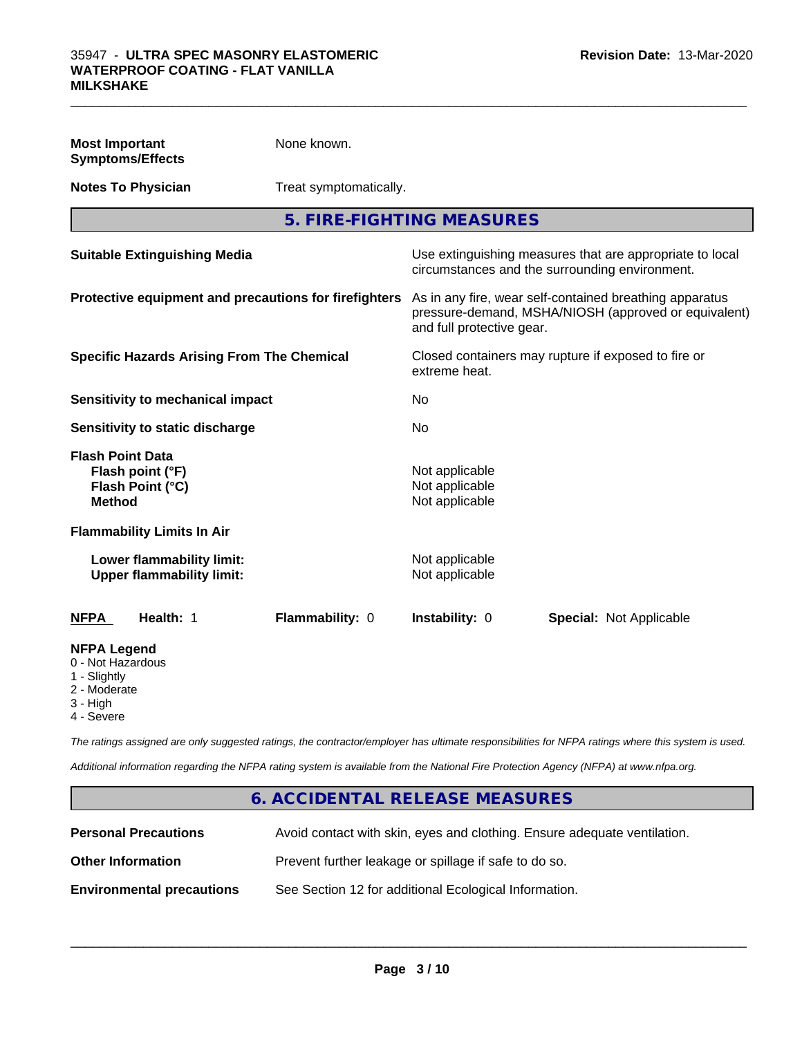| <b>Most Important</b><br><b>Symptoms/Effects</b>                                 | None known.            |                                                                                                                                              |                                |  |
|----------------------------------------------------------------------------------|------------------------|----------------------------------------------------------------------------------------------------------------------------------------------|--------------------------------|--|
| <b>Notes To Physician</b>                                                        | Treat symptomatically. |                                                                                                                                              |                                |  |
|                                                                                  |                        | 5. FIRE-FIGHTING MEASURES                                                                                                                    |                                |  |
| <b>Suitable Extinguishing Media</b>                                              |                        | Use extinguishing measures that are appropriate to local<br>circumstances and the surrounding environment.                                   |                                |  |
| Protective equipment and precautions for firefighters                            |                        | As in any fire, wear self-contained breathing apparatus<br>pressure-demand, MSHA/NIOSH (approved or equivalent)<br>and full protective gear. |                                |  |
| <b>Specific Hazards Arising From The Chemical</b>                                |                        | Closed containers may rupture if exposed to fire or<br>extreme heat.                                                                         |                                |  |
| <b>Sensitivity to mechanical impact</b>                                          |                        | No                                                                                                                                           |                                |  |
| Sensitivity to static discharge                                                  |                        | No.                                                                                                                                          |                                |  |
| <b>Flash Point Data</b><br>Flash point (°F)<br>Flash Point (°C)<br><b>Method</b> |                        | Not applicable<br>Not applicable<br>Not applicable                                                                                           |                                |  |
| <b>Flammability Limits In Air</b>                                                |                        |                                                                                                                                              |                                |  |
| Lower flammability limit:<br><b>Upper flammability limit:</b>                    |                        | Not applicable<br>Not applicable                                                                                                             |                                |  |
| Health: 1<br><b>NFPA</b>                                                         | Flammability: 0        | Instability: 0                                                                                                                               | <b>Special: Not Applicable</b> |  |
| <b>NFPA Legend</b><br>0 - Not Hazardous<br>1 - Slightly<br>2 - Moderate          |                        |                                                                                                                                              |                                |  |

 $\_$  ,  $\_$  ,  $\_$  ,  $\_$  ,  $\_$  ,  $\_$  ,  $\_$  ,  $\_$  ,  $\_$  ,  $\_$  ,  $\_$  ,  $\_$  ,  $\_$  ,  $\_$  ,  $\_$  ,  $\_$  ,  $\_$  ,  $\_$  ,  $\_$  ,  $\_$  ,  $\_$  ,  $\_$  ,  $\_$  ,  $\_$  ,  $\_$  ,  $\_$  ,  $\_$  ,  $\_$  ,  $\_$  ,  $\_$  ,  $\_$  ,  $\_$  ,  $\_$  ,  $\_$  ,  $\_$  ,  $\_$  ,  $\_$  ,

- 3 High
- 4 Severe

*The ratings assigned are only suggested ratings, the contractor/employer has ultimate responsibilities for NFPA ratings where this system is used.*

*Additional information regarding the NFPA rating system is available from the National Fire Protection Agency (NFPA) at www.nfpa.org.*

# **6. ACCIDENTAL RELEASE MEASURES Personal Precautions** Avoid contact with skin, eyes and clothing. Ensure adequate ventilation. **Other Information Prevent further leakage or spillage if safe to do so. Environmental precautions** See Section 12 for additional Ecological Information.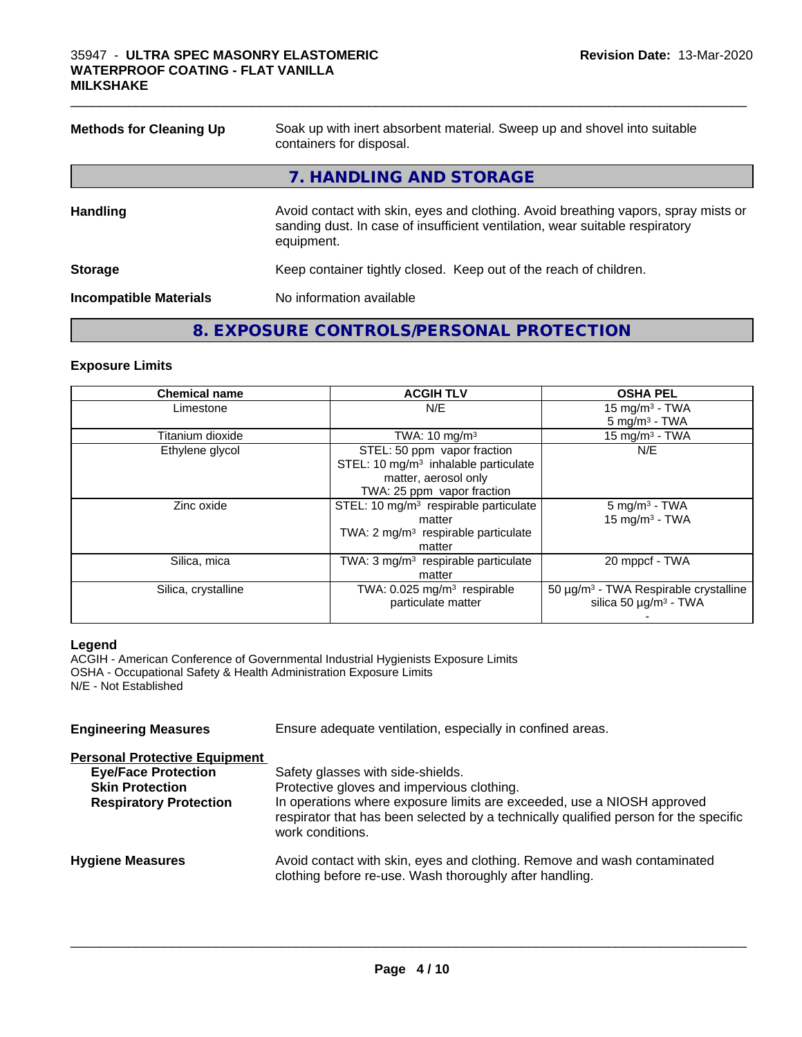| <b>Methods for Cleaning Up</b> | Soak up with inert absorbent material. Sweep up and shovel into suitable<br>containers for disposal.                                                                             |  |  |
|--------------------------------|----------------------------------------------------------------------------------------------------------------------------------------------------------------------------------|--|--|
|                                | 7. HANDLING AND STORAGE                                                                                                                                                          |  |  |
| <b>Handling</b>                | Avoid contact with skin, eyes and clothing. Avoid breathing vapors, spray mists or<br>sanding dust. In case of insufficient ventilation, wear suitable respiratory<br>equipment. |  |  |
| <b>Storage</b>                 | Keep container tightly closed. Keep out of the reach of children.                                                                                                                |  |  |
| <b>Incompatible Materials</b>  | No information available                                                                                                                                                         |  |  |

 $\_$  ,  $\_$  ,  $\_$  ,  $\_$  ,  $\_$  ,  $\_$  ,  $\_$  ,  $\_$  ,  $\_$  ,  $\_$  ,  $\_$  ,  $\_$  ,  $\_$  ,  $\_$  ,  $\_$  ,  $\_$  ,  $\_$  ,  $\_$  ,  $\_$  ,  $\_$  ,  $\_$  ,  $\_$  ,  $\_$  ,  $\_$  ,  $\_$  ,  $\_$  ,  $\_$  ,  $\_$  ,  $\_$  ,  $\_$  ,  $\_$  ,  $\_$  ,  $\_$  ,  $\_$  ,  $\_$  ,  $\_$  ,  $\_$  ,

# **8. EXPOSURE CONTROLS/PERSONAL PROTECTION**

#### **Exposure Limits**

| <b>Chemical name</b> | <b>ACGIH TLV</b>                                  | <b>OSHA PEL</b>                                   |
|----------------------|---------------------------------------------------|---------------------------------------------------|
| Limestone            | N/E                                               | 15 mg/m $3$ - TWA                                 |
|                      |                                                   | $5 \text{ mg/m}^3$ - TWA                          |
| Titanium dioxide     | TWA: $10 \text{ mg/m}^3$                          | 15 mg/m $3$ - TWA                                 |
| Ethylene glycol      | STEL: 50 ppm vapor fraction                       | N/E                                               |
|                      | STEL: 10 mg/m <sup>3</sup> inhalable particulate  |                                                   |
|                      | matter, aerosol only                              |                                                   |
|                      | TWA: 25 ppm vapor fraction                        |                                                   |
| Zinc oxide           | STEL: 10 mg/m <sup>3</sup> respirable particulate | $5 \text{ mg/m}^3$ - TWA                          |
|                      | matter                                            | $15$ mg/m <sup>3</sup> - TWA                      |
|                      | TWA: $2 \text{ mg/m}^3$ respirable particulate    |                                                   |
|                      | matter                                            |                                                   |
| Silica, mica         | TWA: $3 \text{ mg/m}^3$ respirable particulate    | 20 mppcf - TWA                                    |
|                      | matter                                            |                                                   |
| Silica, crystalline  | TWA: $0.025$ mg/m <sup>3</sup> respirable         | 50 µg/m <sup>3</sup> - TWA Respirable crystalline |
|                      | particulate matter                                | silica 50 $\mu$ g/m <sup>3</sup> - TWA            |
|                      |                                                   |                                                   |

#### **Legend**

ACGIH - American Conference of Governmental Industrial Hygienists Exposure Limits OSHA - Occupational Safety & Health Administration Exposure Limits N/E - Not Established

| Ensure adequate ventilation, especially in confined areas.                                                                                                                         |  |  |
|------------------------------------------------------------------------------------------------------------------------------------------------------------------------------------|--|--|
|                                                                                                                                                                                    |  |  |
| Safety glasses with side-shields.                                                                                                                                                  |  |  |
| Protective gloves and impervious clothing.                                                                                                                                         |  |  |
| In operations where exposure limits are exceeded, use a NIOSH approved<br>respirator that has been selected by a technically qualified person for the specific<br>work conditions. |  |  |
| Avoid contact with skin, eyes and clothing. Remove and wash contaminated<br>clothing before re-use. Wash thoroughly after handling.                                                |  |  |
|                                                                                                                                                                                    |  |  |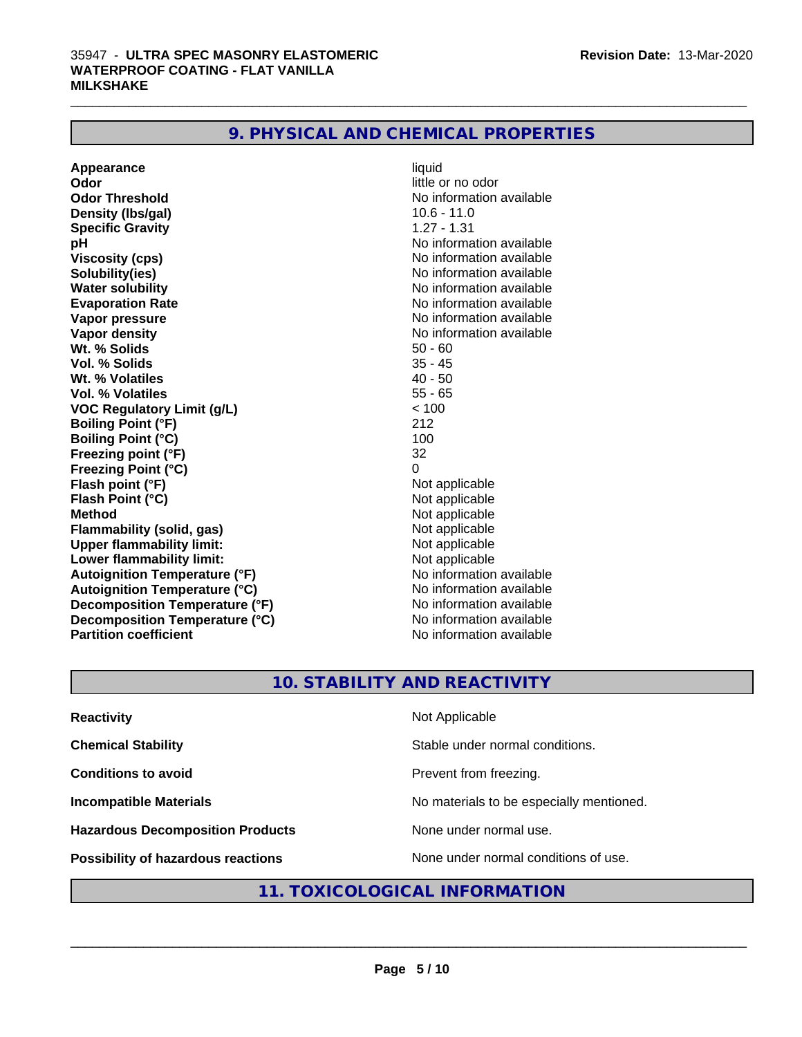| Appearance                           | liquid                   |
|--------------------------------------|--------------------------|
| Odor                                 | little or no odor        |
| <b>Odor Threshold</b>                | No information available |
| Density (Ibs/gal)                    | $10.6 - 11.0$            |
| <b>Specific Gravity</b>              | $1.27 - 1.31$            |
| рH                                   | No information available |
| <b>Viscosity (cps)</b>               | No information available |
| Solubility(ies)                      | No information available |
| <b>Water solubility</b>              | No information available |
| <b>Evaporation Rate</b>              | No information available |
| Vapor pressure                       | No information available |
| Vapor density                        | No information available |
| Wt. % Solids                         | $50 - 60$                |
| Vol. % Solids                        | $35 - 45$                |
| Wt. % Volatiles                      | $40 - 50$                |
| Vol. % Volatiles                     | $55 - 65$                |
| <b>VOC Regulatory Limit (g/L)</b>    | < 100                    |
| <b>Boiling Point (°F)</b>            | 212                      |
| <b>Boiling Point (°C)</b>            | 100                      |
| Freezing point (°F)                  | 32                       |
| <b>Freezing Point (°C)</b>           | $\Omega$                 |
| Flash point (°F)                     | Not applicable           |
| Flash Point (°C)                     | Not applicable           |
| <b>Method</b>                        | Not applicable           |
| <b>Flammability (solid, gas)</b>     | Not applicable           |
| <b>Upper flammability limit:</b>     | Not applicable           |
| Lower flammability limit:            | Not applicable           |
| <b>Autoignition Temperature (°F)</b> | No information available |
| <b>Autoignition Temperature (°C)</b> | No information available |
| Decomposition Temperature (°F)       | No information available |
| Decomposition Temperature (°C)       | No information available |
| <b>Partition coefficient</b>         | No information available |

 $\_$  ,  $\_$  ,  $\_$  ,  $\_$  ,  $\_$  ,  $\_$  ,  $\_$  ,  $\_$  ,  $\_$  ,  $\_$  ,  $\_$  ,  $\_$  ,  $\_$  ,  $\_$  ,  $\_$  ,  $\_$  ,  $\_$  ,  $\_$  ,  $\_$  ,  $\_$  ,  $\_$  ,  $\_$  ,  $\_$  ,  $\_$  ,  $\_$  ,  $\_$  ,  $\_$  ,  $\_$  ,  $\_$  ,  $\_$  ,  $\_$  ,  $\_$  ,  $\_$  ,  $\_$  ,  $\_$  ,  $\_$  ,  $\_$  ,

# **10. STABILITY AND REACTIVITY**

| <b>Reactivity</b>                         | Not Applicable                           |
|-------------------------------------------|------------------------------------------|
| <b>Chemical Stability</b>                 | Stable under normal conditions.          |
| <b>Conditions to avoid</b>                | Prevent from freezing.                   |
| <b>Incompatible Materials</b>             | No materials to be especially mentioned. |
| <b>Hazardous Decomposition Products</b>   | None under normal use.                   |
| <b>Possibility of hazardous reactions</b> | None under normal conditions of use.     |

# **11. TOXICOLOGICAL INFORMATION**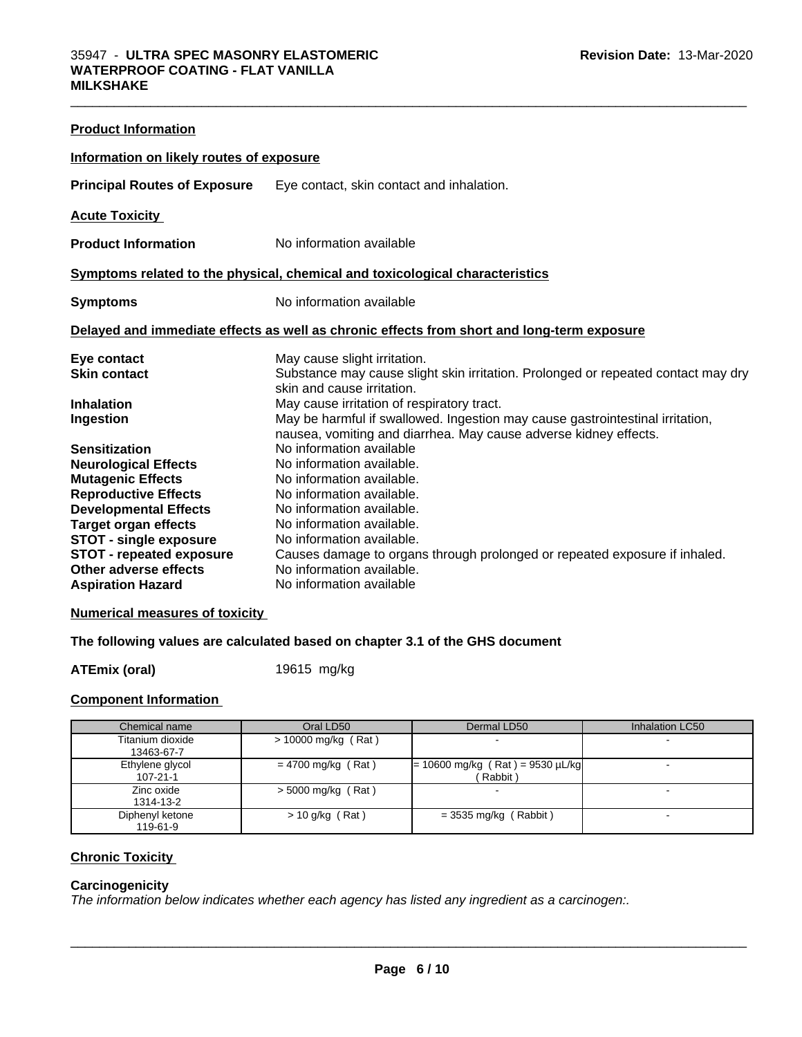| <b>Product Information</b>                               |                                                                                                                                                   |  |  |  |  |
|----------------------------------------------------------|---------------------------------------------------------------------------------------------------------------------------------------------------|--|--|--|--|
| Information on likely routes of exposure                 |                                                                                                                                                   |  |  |  |  |
| <b>Principal Routes of Exposure</b>                      | Eye contact, skin contact and inhalation.                                                                                                         |  |  |  |  |
| <b>Acute Toxicity</b>                                    |                                                                                                                                                   |  |  |  |  |
| <b>Product Information</b>                               | No information available                                                                                                                          |  |  |  |  |
|                                                          | Symptoms related to the physical, chemical and toxicological characteristics                                                                      |  |  |  |  |
| <b>Symptoms</b>                                          | No information available                                                                                                                          |  |  |  |  |
|                                                          | Delayed and immediate effects as well as chronic effects from short and long-term exposure                                                        |  |  |  |  |
| Eye contact                                              | May cause slight irritation.                                                                                                                      |  |  |  |  |
| <b>Skin contact</b>                                      | Substance may cause slight skin irritation. Prolonged or repeated contact may dry<br>skin and cause irritation.                                   |  |  |  |  |
| <b>Inhalation</b>                                        | May cause irritation of respiratory tract.                                                                                                        |  |  |  |  |
| Ingestion                                                | May be harmful if swallowed. Ingestion may cause gastrointestinal irritation,<br>nausea, vomiting and diarrhea. May cause adverse kidney effects. |  |  |  |  |
| <b>Sensitization</b>                                     | No information available                                                                                                                          |  |  |  |  |
| <b>Neurological Effects</b>                              | No information available.                                                                                                                         |  |  |  |  |
| <b>Mutagenic Effects</b>                                 | No information available.                                                                                                                         |  |  |  |  |
| <b>Reproductive Effects</b>                              | No information available.                                                                                                                         |  |  |  |  |
| <b>Developmental Effects</b>                             | No information available.                                                                                                                         |  |  |  |  |
| <b>Target organ effects</b>                              | No information available.                                                                                                                         |  |  |  |  |
| <b>STOT - single exposure</b>                            | No information available.                                                                                                                         |  |  |  |  |
| <b>STOT - repeated exposure</b><br>Other adverse effects | Causes damage to organs through prolonged or repeated exposure if inhaled.<br>No information available.                                           |  |  |  |  |
| <b>Aspiration Hazard</b>                                 | No information available                                                                                                                          |  |  |  |  |
|                                                          |                                                                                                                                                   |  |  |  |  |

 $\_$  ,  $\_$  ,  $\_$  ,  $\_$  ,  $\_$  ,  $\_$  ,  $\_$  ,  $\_$  ,  $\_$  ,  $\_$  ,  $\_$  ,  $\_$  ,  $\_$  ,  $\_$  ,  $\_$  ,  $\_$  ,  $\_$  ,  $\_$  ,  $\_$  ,  $\_$  ,  $\_$  ,  $\_$  ,  $\_$  ,  $\_$  ,  $\_$  ,  $\_$  ,  $\_$  ,  $\_$  ,  $\_$  ,  $\_$  ,  $\_$  ,  $\_$  ,  $\_$  ,  $\_$  ,  $\_$  ,  $\_$  ,  $\_$  ,

#### **Numerical measures of toxicity**

# **The following values are calculated based on chapter 3.1 of the GHS document**

**ATEmix (oral)** 19615 mg/kg

#### **Component Information**

| Chemical name                     | Oral LD50             | Dermal LD50                                    | Inhalation LC50 |
|-----------------------------------|-----------------------|------------------------------------------------|-----------------|
| Titanium dioxide<br>13463-67-7    | $> 10000$ mg/kg (Rat) |                                                |                 |
| Ethylene glycol<br>$107 - 21 - 1$ | $= 4700$ mg/kg (Rat)  | $= 10600$ mg/kg (Rat) = 9530 µL/kg<br>(Rabbit) |                 |
| Zinc oxide<br>1314-13-2           | $>$ 5000 mg/kg (Rat)  |                                                |                 |
| Diphenyl ketone<br>119-61-9       | $> 10$ g/kg (Rat)     | $=$ 3535 mg/kg (Rabbit)                        |                 |

# **Chronic Toxicity**

### **Carcinogenicity**

*The information below indicateswhether each agency has listed any ingredient as a carcinogen:.*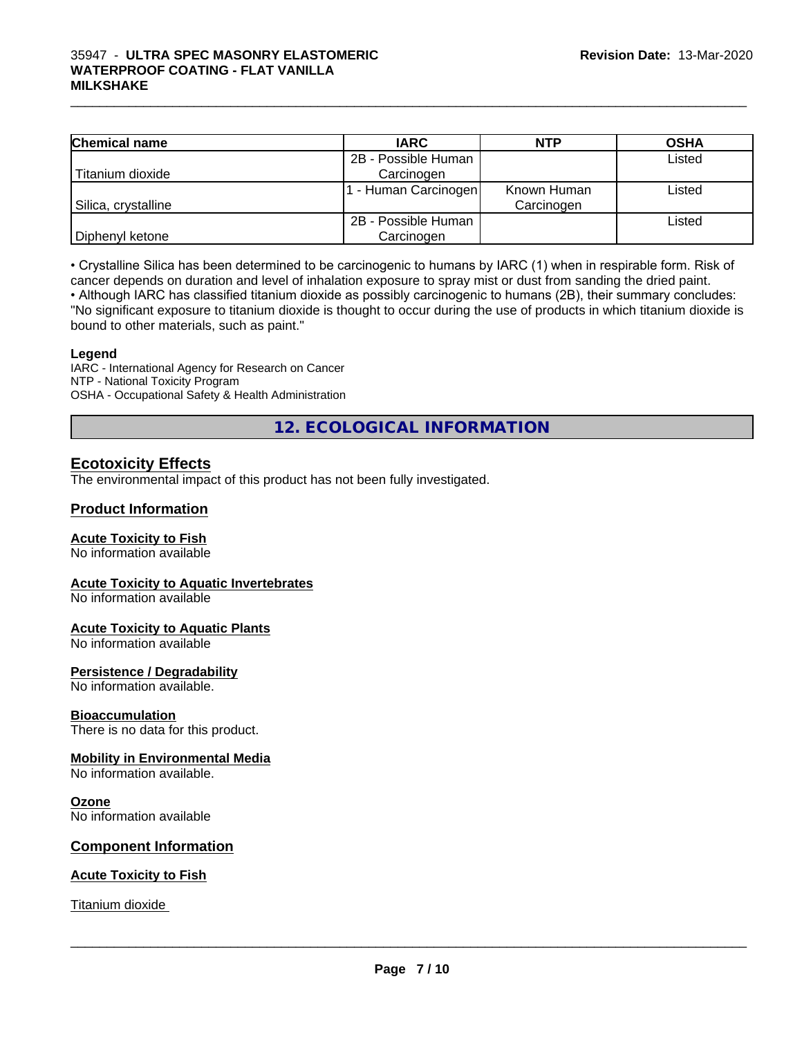#### $\_$  ,  $\_$  ,  $\_$  ,  $\_$  ,  $\_$  ,  $\_$  ,  $\_$  ,  $\_$  ,  $\_$  ,  $\_$  ,  $\_$  ,  $\_$  ,  $\_$  ,  $\_$  ,  $\_$  ,  $\_$  ,  $\_$  ,  $\_$  ,  $\_$  ,  $\_$  ,  $\_$  ,  $\_$  ,  $\_$  ,  $\_$  ,  $\_$  ,  $\_$  ,  $\_$  ,  $\_$  ,  $\_$  ,  $\_$  ,  $\_$  ,  $\_$  ,  $\_$  ,  $\_$  ,  $\_$  ,  $\_$  ,  $\_$  , 35947 - **ULTRA SPEC MASONRY ELASTOMERIC WATERPROOF COATING - FLAT VANILLA MILKSHAKE**

| <b>Chemical name</b> | <b>IARC</b>         | <b>NTP</b>  | <b>OSHA</b> |
|----------------------|---------------------|-------------|-------------|
|                      | 2B - Possible Human |             | Listed      |
| Titanium dioxide     | Carcinogen          |             |             |
|                      | - Human Carcinogen  | Known Human | Listed      |
| Silica, crystalline  |                     | Carcinogen  |             |
|                      | 2B - Possible Human |             | Listed      |
| Diphenyl ketone      | Carcinogen          |             |             |

• Crystalline Silica has been determined to be carcinogenic to humans by IARC (1) when in respirable form. Risk of cancer depends on duration and level of inhalation exposure to spray mist or dust from sanding the dried paint.

• Although IARC has classified titanium dioxide as possibly carcinogenic to humans (2B), their summary concludes: "No significant exposure to titanium dioxide is thought to occur during the use of products in which titanium dioxide is bound to other materials, such as paint."

#### **Legend**

IARC - International Agency for Research on Cancer NTP - National Toxicity Program OSHA - Occupational Safety & Health Administration

**12. ECOLOGICAL INFORMATION**

# **Ecotoxicity Effects**

The environmental impact of this product has not been fully investigated.

#### **Product Information**

# **Acute Toxicity to Fish**

No information available

#### **Acute Toxicity to Aquatic Invertebrates**

No information available

#### **Acute Toxicity to Aquatic Plants**

No information available

#### **Persistence / Degradability**

No information available.

#### **Bioaccumulation**

There is no data for this product.

#### **Mobility in Environmental Media**

No information available.

#### **Ozone**

No information available

#### **Component Information**

#### **Acute Toxicity to Fish**

Titanium dioxide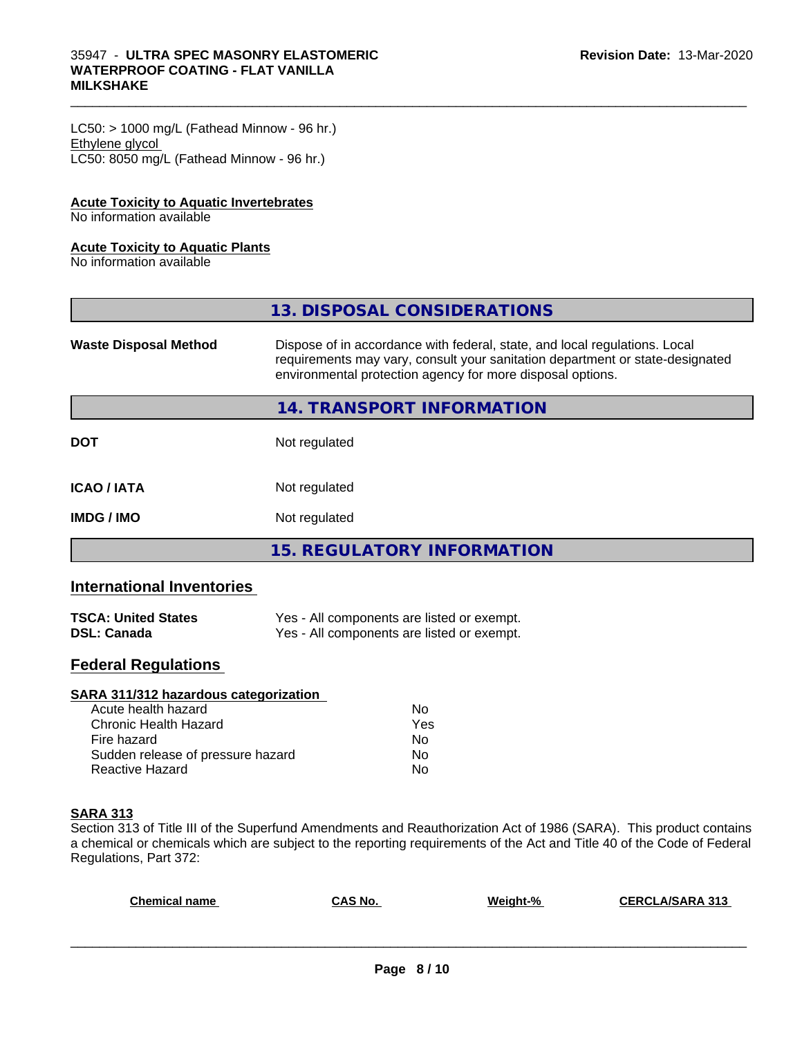$LC50:$  > 1000 mg/L (Fathead Minnow - 96 hr.) Ethylene glycol LC50: 8050 mg/L (Fathead Minnow - 96 hr.)

#### **Acute Toxicity to Aquatic Invertebrates**

No information available

#### **Acute Toxicity to Aquatic Plants**

No information available

|                              | 13. DISPOSAL CONSIDERATIONS                                                                                                                                                                                               |
|------------------------------|---------------------------------------------------------------------------------------------------------------------------------------------------------------------------------------------------------------------------|
| <b>Waste Disposal Method</b> | Dispose of in accordance with federal, state, and local regulations. Local<br>requirements may vary, consult your sanitation department or state-designated<br>environmental protection agency for more disposal options. |
|                              | 14. TRANSPORT INFORMATION                                                                                                                                                                                                 |
| <b>DOT</b>                   | Not regulated                                                                                                                                                                                                             |
| <b>ICAO/IATA</b>             | Not regulated                                                                                                                                                                                                             |
| <b>IMDG/IMO</b>              | Not regulated                                                                                                                                                                                                             |
|                              | 15. REGULATORY INFORMATION                                                                                                                                                                                                |

 $\_$  ,  $\_$  ,  $\_$  ,  $\_$  ,  $\_$  ,  $\_$  ,  $\_$  ,  $\_$  ,  $\_$  ,  $\_$  ,  $\_$  ,  $\_$  ,  $\_$  ,  $\_$  ,  $\_$  ,  $\_$  ,  $\_$  ,  $\_$  ,  $\_$  ,  $\_$  ,  $\_$  ,  $\_$  ,  $\_$  ,  $\_$  ,  $\_$  ,  $\_$  ,  $\_$  ,  $\_$  ,  $\_$  ,  $\_$  ,  $\_$  ,  $\_$  ,  $\_$  ,  $\_$  ,  $\_$  ,  $\_$  ,  $\_$  ,

# **International Inventories**

| <b>TSCA: United States</b> | Yes - All components are listed or exempt. |
|----------------------------|--------------------------------------------|
| <b>DSL: Canada</b>         | Yes - All components are listed or exempt. |

# **Federal Regulations**

| SARA 311/312 hazardous categorization |     |  |
|---------------------------------------|-----|--|
| Acute health hazard                   | Nο  |  |
| Chronic Health Hazard                 | Yes |  |
| Fire hazard                           | Nο  |  |
| Sudden release of pressure hazard     | Nο  |  |
| Reactive Hazard                       | No  |  |

# **SARA 313**

Section 313 of Title III of the Superfund Amendments and Reauthorization Act of 1986 (SARA). This product contains a chemical or chemicals which are subject to the reporting requirements of the Act and Title 40 of the Code of Federal Regulations, Part 372:

| <b>Chemical name</b> | CAS No. | Weight-% | <b>CERCLA/SARA 313</b> |
|----------------------|---------|----------|------------------------|
|                      |         |          |                        |
|                      |         |          |                        |
|                      |         |          |                        |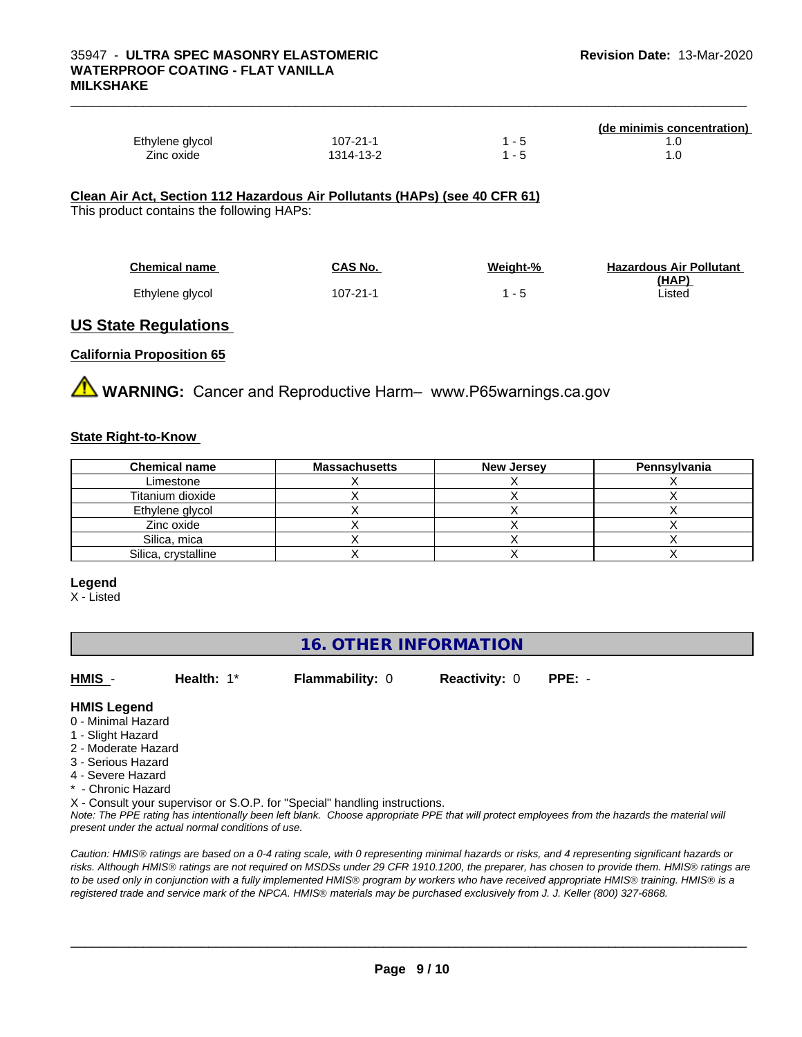**(de minimis concentration)**

| Ethylene glycol                                                            | $107 - 21 - 1$ | $1 - 5$ | 1.0 |
|----------------------------------------------------------------------------|----------------|---------|-----|
| Zinc oxide                                                                 | 1314-13-2      | $1 - 5$ | 1.0 |
|                                                                            |                |         |     |
|                                                                            |                |         |     |
| Clean Air Act, Section 112 Hazardous Air Pollutants (HAPs) (see 40 CFR 61) |                |         |     |
| This product contains the following HAPs:                                  |                |         |     |
|                                                                            |                |         |     |
|                                                                            |                |         |     |

| <b>Chemical name</b> | CAS No.  | Weight-% | <b>Hazardous Air Pollutant</b> |
|----------------------|----------|----------|--------------------------------|
|                      |          |          | (HAP                           |
| Ethylene glycol      | 107-21-1 |          | ∟isted                         |

# **US State Regulations**

### **California Proposition 65**

**A** WARNING: Cancer and Reproductive Harm– www.P65warnings.ca.gov

#### **State Right-to-Know**

| <b>Chemical name</b> | <b>Massachusetts</b> | <b>New Jersey</b> | Pennsylvania |
|----------------------|----------------------|-------------------|--------------|
| Limestone            |                      |                   |              |
| Titanium dioxide     |                      |                   |              |
| Ethylene glycol      |                      |                   |              |
| Zinc oxide           |                      |                   |              |
| Silica, mica         |                      |                   |              |
| Silica, crystalline  |                      |                   |              |

#### **Legend**

X - Listed

# **16. OTHER INFORMATION**

**HMIS** - **Health:** 1\* **Flammability:** 0 **Reactivity:** 0 **PPE:** -

# **HMIS Legend**

- 0 Minimal Hazard
- 1 Slight Hazard
- 2 Moderate Hazard
- 3 Serious Hazard
- 4 Severe Hazard
- \* Chronic Hazard

X - Consult your supervisor or S.O.P. for "Special" handling instructions.

*Note: The PPE rating has intentionally been left blank. Choose appropriate PPE that will protect employees from the hazards the material will present under the actual normal conditions of use.*

*Caution: HMISÒ ratings are based on a 0-4 rating scale, with 0 representing minimal hazards or risks, and 4 representing significant hazards or risks. Although HMISÒ ratings are not required on MSDSs under 29 CFR 1910.1200, the preparer, has chosen to provide them. HMISÒ ratings are to be used only in conjunction with a fully implemented HMISÒ program by workers who have received appropriate HMISÒ training. HMISÒ is a registered trade and service mark of the NPCA. HMISÒ materials may be purchased exclusively from J. J. Keller (800) 327-6868.*